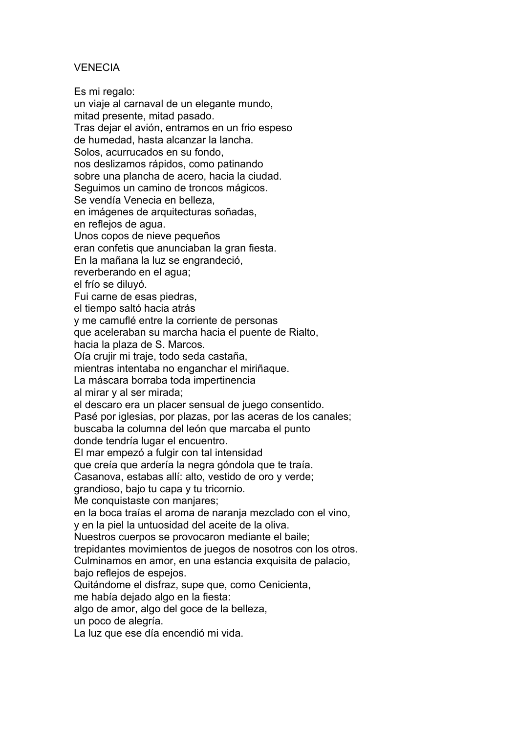#### VENECIA

Es mi regalo:

un viaje al carnaval de un elegante mundo, mitad presente, mitad pasado. Tras dejar el avión, entramos en un frio espeso de humedad, hasta alcanzar la lancha. Solos, acurrucados en su fondo, nos deslizamos rápidos, como patinando sobre una plancha de acero, hacia la ciudad. Seguimos un camino de troncos mágicos. Se vendía Venecia en belleza, en imágenes de arquitecturas soñadas, en reflejos de agua. Unos copos de nieve pequeños eran confetis que anunciaban la gran fiesta. En la mañana la luz se engrandeció, reverberando en el agua; el frío se diluyó. Fui carne de esas piedras, el tiempo saltó hacia atrás y me camuflé entre la corriente de personas que aceleraban su marcha hacia el puente de Rialto, hacia la plaza de S. Marcos. Oía crujir mi traje, todo seda castaña, mientras intentaba no enganchar el miriñaque. La máscara borraba toda impertinencia al mirar y al ser mirada; el descaro era un placer sensual de juego consentido. Pasé por iglesias, por plazas, por las aceras de los canales; buscaba la columna del león que marcaba el punto donde tendría lugar el encuentro. El mar empezó a fulgir con tal intensidad que creía que ardería la negra góndola que te traía. Casanova, estabas allí: alto, vestido de oro y verde; grandioso, bajo tu capa y tu tricornio. Me conquistaste con manjares; en la boca traías el aroma de naranja mezclado con el vino, y en la piel la untuosidad del aceite de la oliva. Nuestros cuerpos se provocaron mediante el baile; trepidantes movimientos de juegos de nosotros con los otros. Culminamos en amor, en una estancia exquisita de palacio, bajo reflejos de espejos. Quitándome el disfraz, supe que, como Cenicienta, me había dejado algo en la fiesta: algo de amor, algo del goce de la belleza, un poco de alegría. La luz que ese día encendió mi vida.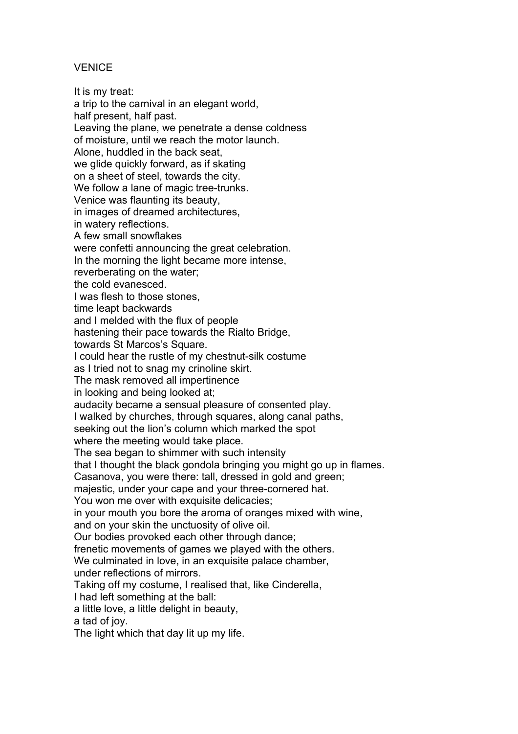### **VENICE**

It is my treat: a trip to the carnival in an elegant world, half present, half past. Leaving the plane, we penetrate a dense coldness of moisture, until we reach the motor launch. Alone, huddled in the back seat, we glide quickly forward, as if skating on a sheet of steel, towards the city. We follow a lane of magic tree-trunks. Venice was flaunting its beauty, in images of dreamed architectures, in watery reflections. A few small snowflakes were confetti announcing the great celebration. In the morning the light became more intense, reverberating on the water; the cold evanesced. I was flesh to those stones, time leapt backwards and I melded with the flux of people hastening their pace towards the Rialto Bridge, towards St Marcos's Square. I could hear the rustle of my chestnut-silk costume as I tried not to snag my crinoline skirt. The mask removed all impertinence in looking and being looked at; audacity became a sensual pleasure of consented play. I walked by churches, through squares, along canal paths, seeking out the lion's column which marked the spot where the meeting would take place. The sea began to shimmer with such intensity that I thought the black gondola bringing you might go up in flames. Casanova, you were there: tall, dressed in gold and green; majestic, under your cape and your three-cornered hat. You won me over with exquisite delicacies; in your mouth you bore the aroma of oranges mixed with wine, and on your skin the unctuosity of olive oil. Our bodies provoked each other through dance; frenetic movements of games we played with the others. We culminated in love, in an exquisite palace chamber, under reflections of mirrors. Taking off my costume, I realised that, like Cinderella, I had left something at the ball: a little love, a little delight in beauty, a tad of joy.

The light which that day lit up my life.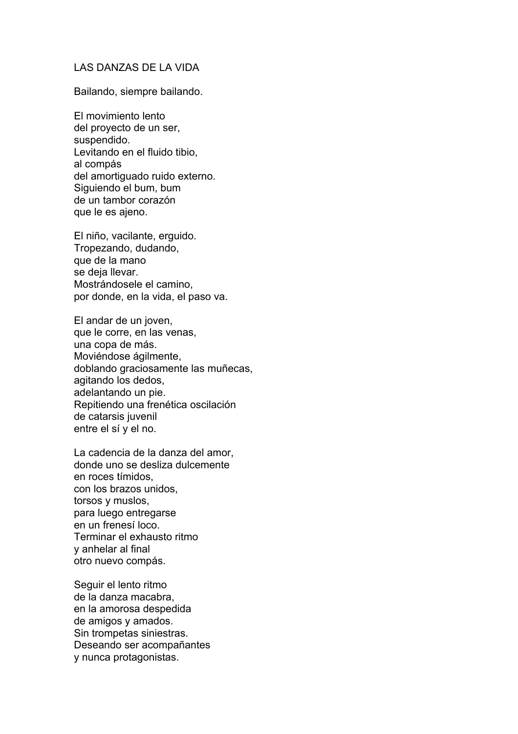#### LAS DANZAS DE LA VIDA

Bailando, siempre bailando.

El movimiento lento del proyecto de un ser, suspendido. Levitando en el fluido tibio, al compás del amortiguado ruido externo. Siguiendo el bum, bum de un tambor corazón que le es ajeno.

El niño, vacilante, erguido. Tropezando, dudando, que de la mano se deja llevar. Mostrándosele el camino, por donde, en la vida, el paso va.

El andar de un joven, que le corre, en las venas, una copa de más. Moviéndose ágilmente, doblando graciosamente las muñecas, agitando los dedos, adelantando un pie. Repitiendo una frenética oscilación de catarsis juvenil entre el sí y el no.

La cadencia de la danza del amor, donde uno se desliza dulcemente en roces tímidos, con los brazos unidos, torsos y muslos, para luego entregarse en un frenesí loco. Terminar el exhausto ritmo y anhelar al final otro nuevo compás.

Seguir el lento ritmo de la danza macabra, en la amorosa despedida de amigos y amados. Sin trompetas siniestras. Deseando ser acompañantes y nunca protagonistas.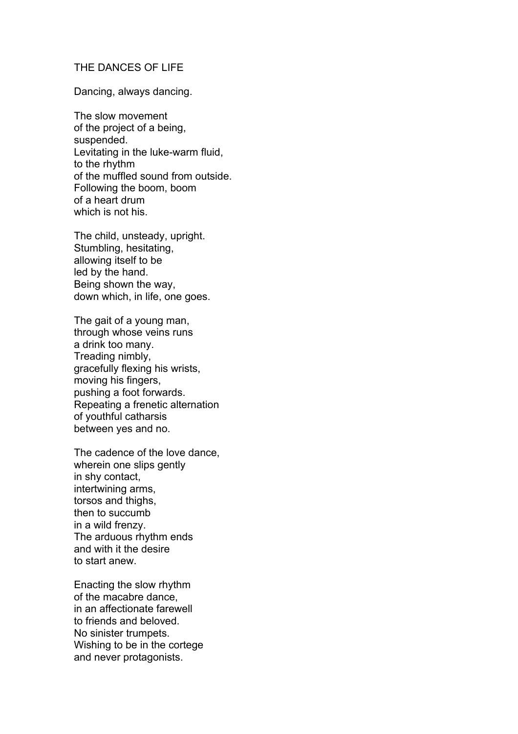#### THE DANCES OF LIFE

Dancing, always dancing.

The slow movement of the project of a being, suspended. Levitating in the luke-warm fluid, to the rhythm of the muffled sound from outside. Following the boom, boom of a heart drum which is not his.

The child, unsteady, upright. Stumbling, hesitating, allowing itself to be led by the hand. Being shown the way, down which, in life, one goes.

The gait of a young man, through whose veins runs a drink too many. Treading nimbly, gracefully flexing his wrists, moving his fingers, pushing a foot forwards. Repeating a frenetic alternation of youthful catharsis between yes and no.

The cadence of the love dance, wherein one slips gently in shy contact, intertwining arms, torsos and thighs, then to succumb in a wild frenzy. The arduous rhythm ends and with it the desire to start anew.

Enacting the slow rhythm of the macabre dance, in an affectionate farewell to friends and beloved. No sinister trumpets. Wishing to be in the cortege and never protagonists.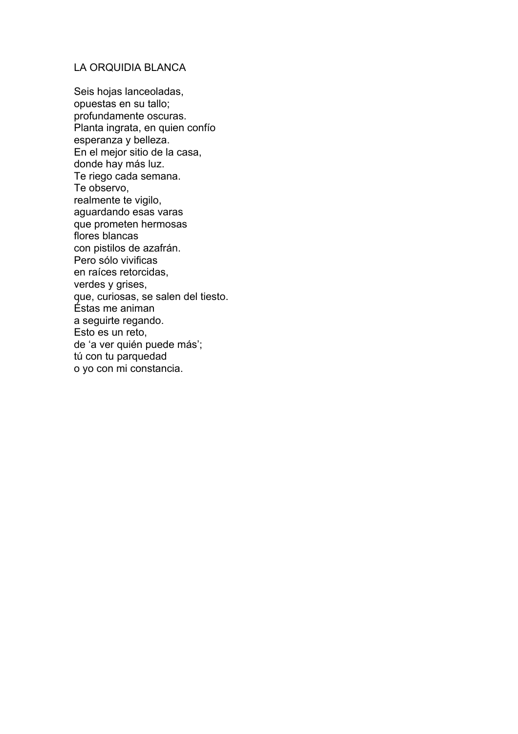#### LA ORQUIDIA BLANCA

Seis hojas lanceoladas, opuestas en su tallo; profundamente oscuras. Planta ingrata, en quien confío esperanza y belleza. En el mejor sitio de la casa, donde hay más luz. Te riego cada semana. Te observo, realmente te vigilo, aguardando esas varas que prometen hermosas flores blancas con pistilos de azafrán. Pero sólo vivificas en raíces retorcidas, verdes y grises, que, curiosas, se salen del tiesto. Éstas me animan a seguirte regando. Esto es un reto, de 'a ver quién puede más'; tú con tu parquedad o yo con mi constancia.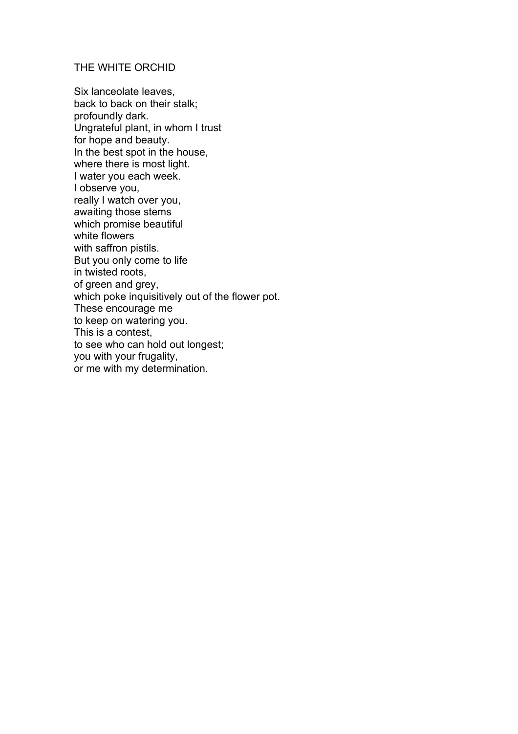#### THE WHITE ORCHID

Six lanceolate leaves, back to back on their stalk; profoundly dark. Ungrateful plant, in whom I trust for hope and beauty. In the best spot in the house, where there is most light. I water you each week. I observe you, really I watch over you, awaiting those stems which promise beautiful white flowers with saffron pistils. But you only come to life in twisted roots, of green and grey, which poke inquisitively out of the flower pot. These encourage me to keep on watering you. This is a contest, to see who can hold out longest; you with your frugality, or me with my determination.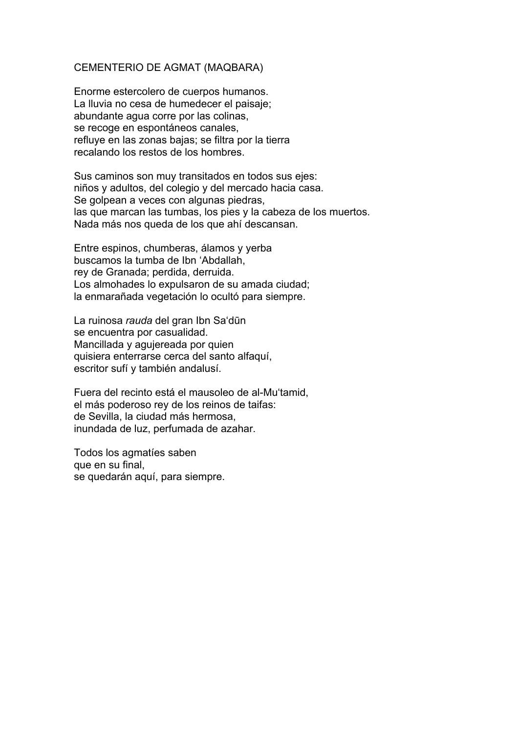#### CEMENTERIO DE AGMAT (MAQBARA)

Enorme estercolero de cuerpos humanos. La lluvia no cesa de humedecer el paisaje; abundante agua corre por las colinas, se recoge en espontáneos canales, refluye en las zonas bajas; se filtra por la tierra recalando los restos de los hombres.

Sus caminos son muy transitados en todos sus ejes: niños y adultos, del colegio y del mercado hacia casa. Se golpean a veces con algunas piedras, las que marcan las tumbas, los pies y la cabeza de los muertos. Nada más nos queda de los que ahí descansan.

Entre espinos, chumberas, álamos y yerba buscamos la tumba de Ibn 'Abdallah, rey de Granada; perdida, derruida. Los almohades lo expulsaron de su amada ciudad; la enmarañada vegetación lo ocultó para siempre.

La ruinosa *rauda* del gran Ibn Sa'dūn se encuentra por casualidad. Mancillada y agujereada por quien quisiera enterrarse cerca del santo alfaquí, escritor sufí y también andalusí.

Fuera del recinto está el mausoleo de al-Mu'tamid, el más poderoso rey de los reinos de taifas: de Sevilla, la ciudad más hermosa, inundada de luz, perfumada de azahar.

Todos los agmatíes saben que en su final, se quedarán aquí, para siempre.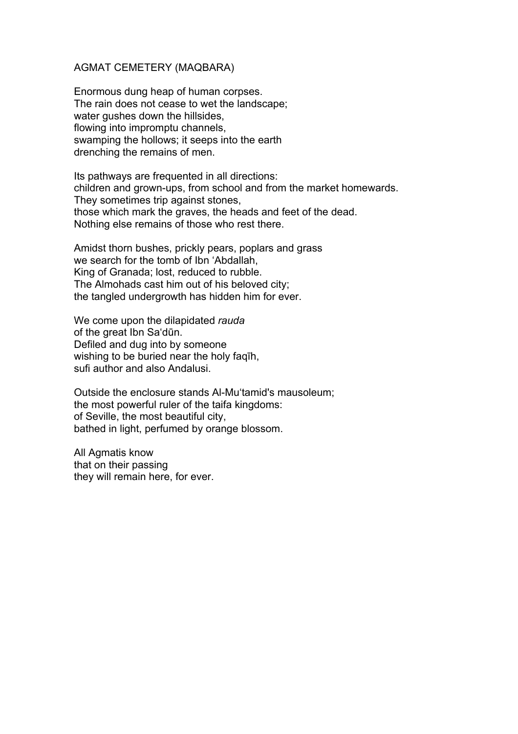#### AGMAT CEMETERY (MAQBARA)

Enormous dung heap of human corpses. The rain does not cease to wet the landscape; water gushes down the hillsides, flowing into impromptu channels, swamping the hollows; it seeps into the earth drenching the remains of men.

Its pathways are frequented in all directions: children and grown-ups, from school and from the market homewards. They sometimes trip against stones, those which mark the graves, the heads and feet of the dead. Nothing else remains of those who rest there.

Amidst thorn bushes, prickly pears, poplars and grass we search for the tomb of Ibn 'Abdallah, King of Granada; lost, reduced to rubble. The Almohads cast him out of his beloved city; the tangled undergrowth has hidden him for ever.

We come upon the dilapidated *rauda* of the great Ibn Sa'dūn. Defiled and dug into by someone wishing to be buried near the holy faqīh, sufi author and also Andalusi.

Outside the enclosure stands Al-Mu'tamid's mausoleum; the most powerful ruler of the taifa kingdoms: of Seville, the most beautiful city, bathed in light, perfumed by orange blossom.

All Agmatis know that on their passing they will remain here, for ever.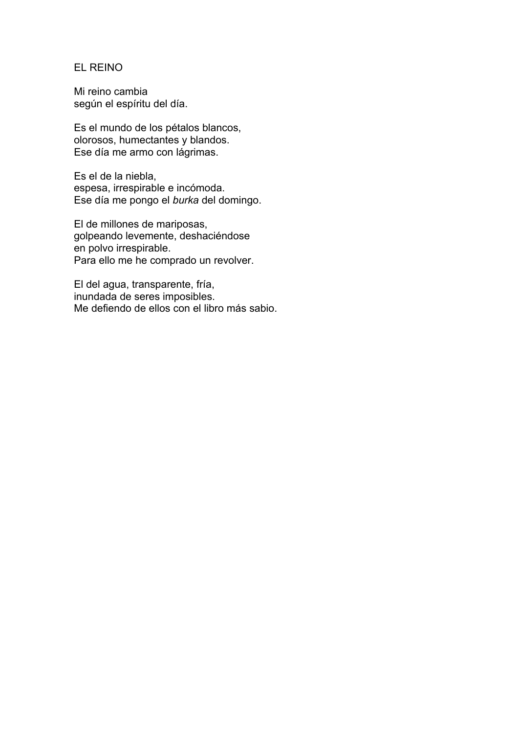#### EL REINO

Mi reino cambia según el espíritu del día.

Es el mundo de los pétalos blancos, olorosos, humectantes y blandos. Ese día me armo con lágrimas.

Es el de la niebla, espesa, irrespirable e incómoda. Ese día me pongo el *burka* del domingo.

El de millones de mariposas, golpeando levemente, deshaciéndose en polvo irrespirable. Para ello me he comprado un revolver.

El del agua, transparente, fría, inundada de seres imposibles. Me defiendo de ellos con el libro más sabio.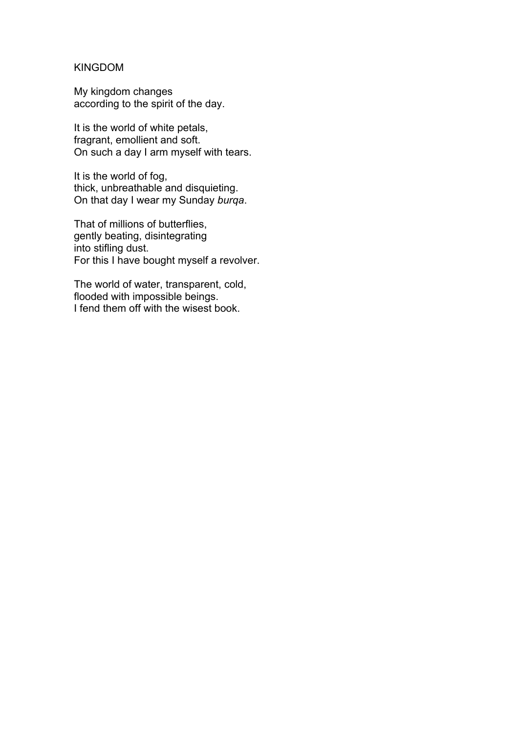#### KINGDOM

My kingdom changes according to the spirit of the day.

It is the world of white petals, fragrant, emollient and soft. On such a day I arm myself with tears.

It is the world of fog, thick, unbreathable and disquieting. On that day I wear my Sunday *burqa*.

That of millions of butterflies, gently beating, disintegrating into stifling dust. For this I have bought myself a revolver.

The world of water, transparent, cold, flooded with impossible beings. I fend them off with the wisest book.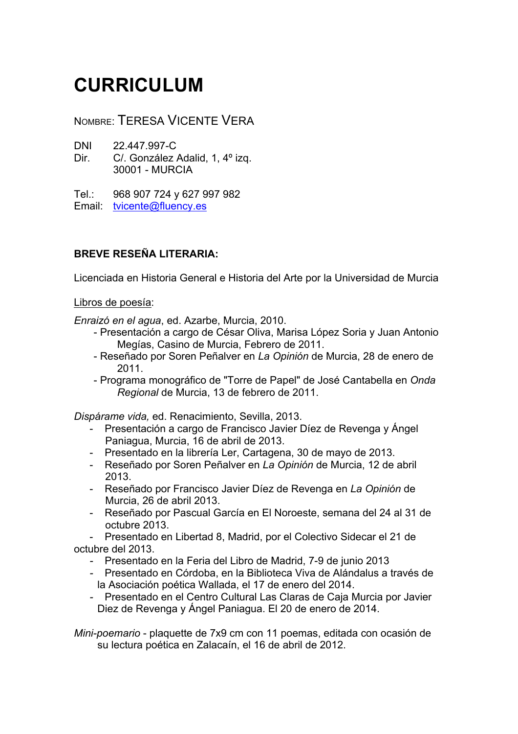# **CURRICULUM**

NOMBRE: TERESA VICENTE VERA

DNI 22.447.997-C

Dir. C/. González Adalid, 1, 4<sup>°</sup> izq. 30001 - MURCIA

Tel.: 968 907 724 y 627 997 982

Email: tvicente@fluency.es

## **BREVE RESEÑA LITERARIA:**

Licenciada en Historia General e Historia del Arte por la Universidad de Murcia

Libros de poesía:

*Enraizó en el agua*, ed. Azarbe, Murcia, 2010.

- Presentación a cargo de César Oliva, Marisa López Soria y Juan Antonio Megías, Casino de Murcia, Febrero de 2011.
- Reseñado por Soren Peñalver en *La Opinión* de Murcia, 28 de enero de 2011.
- Programa monográfico de "Torre de Papel" de José Cantabella en *Onda Regional* de Murcia, 13 de febrero de 2011.

*Dispárame vida,* ed. Renacimiento, Sevilla, 2013.

- Presentación a cargo de Francisco Javier Díez de Revenga y Ángel Paniagua, Murcia, 16 de abril de 2013.
- Presentado en la librería Ler, Cartagena, 30 de mayo de 2013.
- Reseñado por Soren Peñalver en *La Opinión* de Murcia, 12 de abril 2013.
- Reseñado por Francisco Javier Díez de Revenga en *La Opinión* de Murcia, 26 de abril 2013.
- Reseñado por Pascual García en El Noroeste, semana del 24 al 31 de octubre 2013.

- Presentado en Libertad 8, Madrid, por el Colectivo Sidecar el 21 de octubre del 2013.

- *-* Presentado en la Feria del Libro de Madrid, 7-9 de junio 2013
- *-* Presentado en Córdoba, en la Biblioteca Viva de Alándalus a través de la Asociación poética Wallada, el 17 de enero del 2014.
- *-* Presentado en el Centro Cultural Las Claras de Caja Murcia por Javier Diez de Revenga y Ángel Paniagua. El 20 de enero de 2014.

*Mini-poemario* - plaquette de 7x9 cm con 11 poemas, editada con ocasión de su lectura poética en Zalacaín, el 16 de abril de 2012.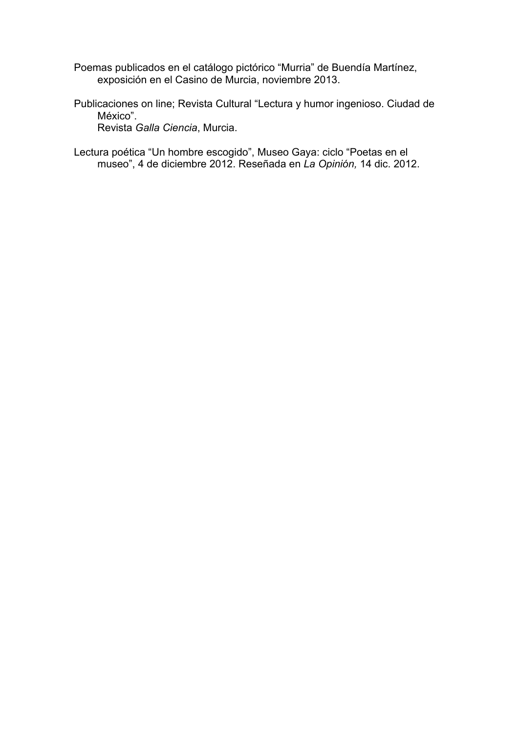- Poemas publicados en el catálogo pictórico "Murria" de Buendía Martínez, exposición en el Casino de Murcia, noviembre 2013.
- Publicaciones on line; Revista Cultural "Lectura y humor ingenioso. Ciudad de México". Revista *Galla Ciencia*, Murcia.
- Lectura poética "Un hombre escogido", Museo Gaya: ciclo "Poetas en el museo", 4 de diciembre 2012. Reseñada en *La Opinión,* 14 dic. 2012.